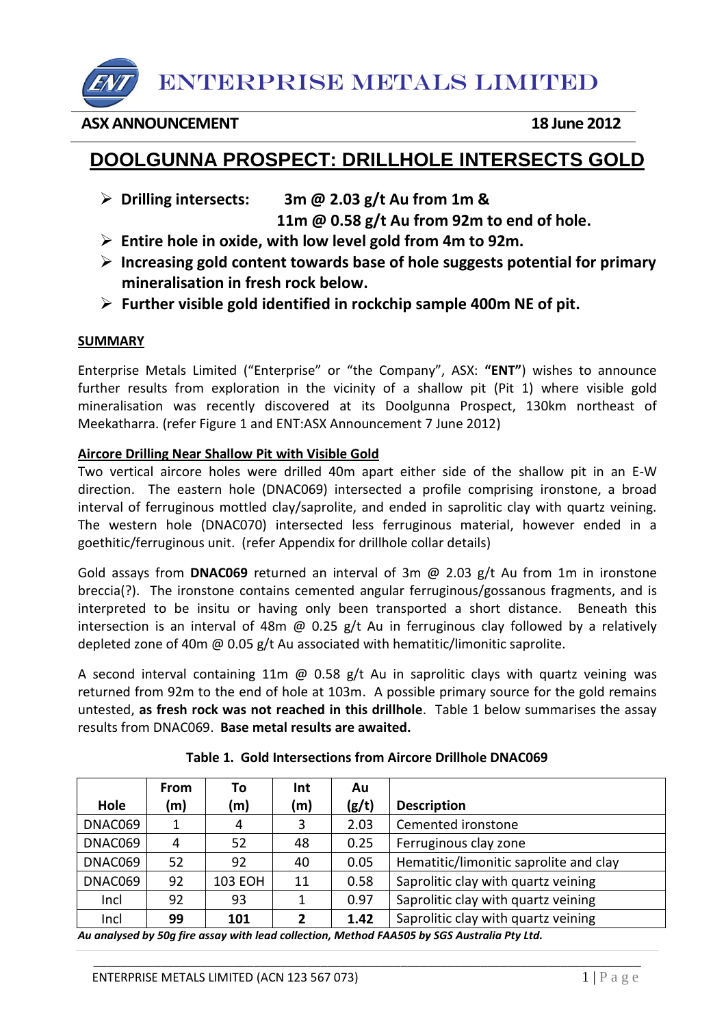ENTERPRISE METALS LIMITED

### **ASX ANNOUNCEMENT 18 June 2012**

# **DOOLGUNNA PROSPECT: DRILLHOLE INTERSECTS GOLD**

- **Drilling intersects: 3m @ 2.03 g/t Au from 1m & 11m @ 0.58 g/t Au from 92m to end of hole.**
- **Entire hole in oxide, with low level gold from 4m to 92m.**
- **Increasing gold content towards base of hole suggests potential for primary mineralisation in fresh rock below.**
- **Further visible gold identified in rockchip sample 400m NE of pit.**

#### **SUMMARY**

Enterprise Metals Limited ("Enterprise" or "the Company", ASX: **"ENT"**) wishes to announce further results from exploration in the vicinity of a shallow pit (Pit 1) where visible gold mineralisation was recently discovered at its Doolgunna Prospect, 130km northeast of Meekatharra. (refer Figure 1 and ENT:ASX Announcement 7 June 2012)

#### **Aircore Drilling Near Shallow Pit with Visible Gold**

Two vertical aircore holes were drilled 40m apart either side of the shallow pit in an E-W direction. The eastern hole (DNAC069) intersected a profile comprising ironstone, a broad interval of ferruginous mottled clay/saprolite, and ended in saprolitic clay with quartz veining. The western hole (DNAC070) intersected less ferruginous material, however ended in a goethitic/ferruginous unit. (refer Appendix for drillhole collar details)

Gold assays from **DNAC069** returned an interval of 3m @ 2.03 g/t Au from 1m in ironstone breccia(?). The ironstone contains cemented angular ferruginous/gossanous fragments, and is interpreted to be insitu or having only been transported a short distance. Beneath this intersection is an interval of 48m  $\omega$  0.25 g/t Au in ferruginous clay followed by a relatively depleted zone of 40m @ 0.05 g/t Au associated with hematitic/limonitic saprolite.

A second interval containing 11m  $\omega$  0.58 g/t Au in saprolitic clays with quartz veining was returned from 92m to the end of hole at 103m. A possible primary source for the gold remains untested, **as fresh rock was not reached in this drillhole**. Table 1 below summarises the assay results from DNAC069. **Base metal results are awaited.**

|         | <b>From</b> | Τo             | Int | Au    |                                        |  |
|---------|-------------|----------------|-----|-------|----------------------------------------|--|
| Hole    | (m)         | (m)            | (m) | (g/t) | <b>Description</b>                     |  |
| DNAC069 |             | 4              | 3   | 2.03  | Cemented ironstone                     |  |
| DNAC069 | 4           | 52             | 48  | 0.25  | Ferruginous clay zone                  |  |
| DNAC069 | 52          | 92             | 40  | 0.05  | Hematitic/limonitic saprolite and clay |  |
| DNAC069 | 92          | <b>103 EOH</b> | 11  | 0.58  | Saprolitic clay with quartz veining    |  |
| Incl    | 92          | 93             | 1   | 0.97  | Saprolitic clay with quartz veining    |  |
| Incl    | 99          | 101            | 2   | 1.42  | Saprolitic clay with quartz veining    |  |

\_\_\_\_\_\_\_\_\_\_\_\_\_\_\_\_\_\_\_\_\_\_\_\_\_\_\_\_\_\_\_\_\_\_\_\_\_\_\_\_\_\_\_\_\_\_\_\_\_\_\_\_\_\_\_\_\_\_\_\_\_\_\_\_\_\_\_\_\_\_\_\_\_\_\_\_\_\_\_\_\_\_

|  |  | Table 1. Gold Intersections from Aircore Drillhole DNAC069 |
|--|--|------------------------------------------------------------|
|--|--|------------------------------------------------------------|

*Au analysed by 50g fire assay with lead collection, Method FAA505 by SGS Australia Pty Ltd.*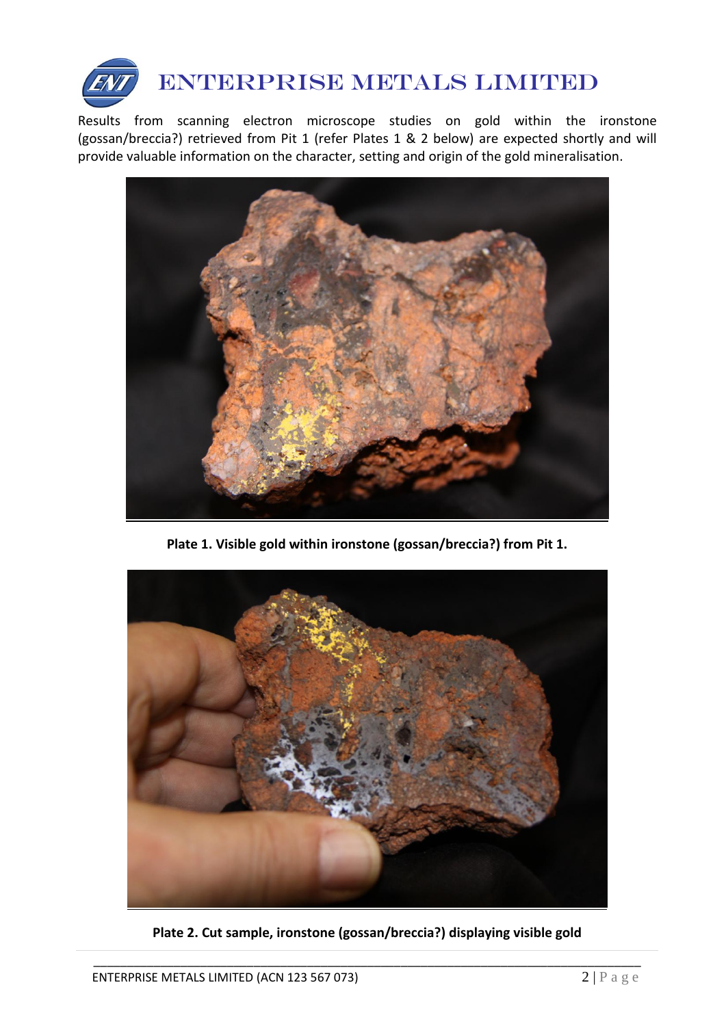

Results from scanning electron microscope studies on gold within the ironstone (gossan/breccia?) retrieved from Pit 1 (refer Plates 1 & 2 below) are expected shortly and will provide valuable information on the character, setting and origin of the gold mineralisation.



**Plate 1. Visible gold within ironstone (gossan/breccia?) from Pit 1.**



**Plate 2. Cut sample, ironstone (gossan/breccia?) displaying visible gold**

\_\_\_\_\_\_\_\_\_\_\_\_\_\_\_\_\_\_\_\_\_\_\_\_\_\_\_\_\_\_\_\_\_\_\_\_\_\_\_\_\_\_\_\_\_\_\_\_\_\_\_\_\_\_\_\_\_\_\_\_\_\_\_\_\_\_\_\_\_\_\_\_\_\_\_\_\_\_\_\_\_\_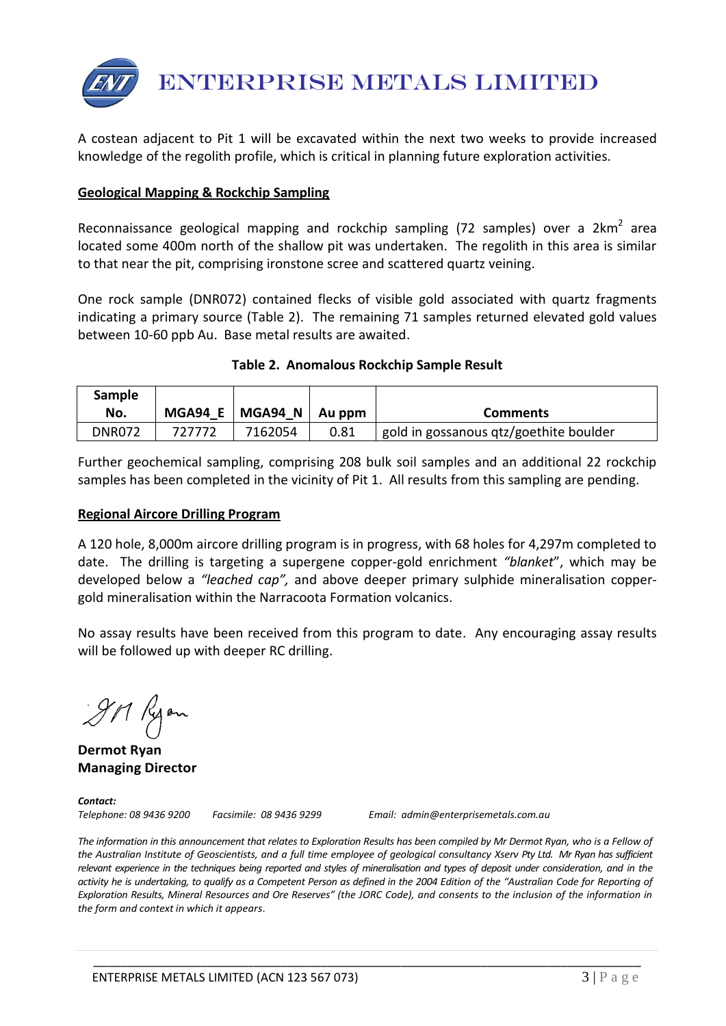

A costean adjacent to Pit 1 will be excavated within the next two weeks to provide increased knowledge of the regolith profile, which is critical in planning future exploration activities.

#### **Geological Mapping & Rockchip Sampling**

Reconnaissance geological mapping and rockchip sampling (72 samples) over a  $2km^2$  area located some 400m north of the shallow pit was undertaken. The regolith in this area is similar to that near the pit, comprising ironstone scree and scattered quartz veining.

One rock sample (DNR072) contained flecks of visible gold associated with quartz fragments indicating a primary source (Table 2). The remaining 71 samples returned elevated gold values between 10-60 ppb Au. Base metal results are awaited.

#### **Table 2. Anomalous Rockchip Sample Result**

| <b>Sample</b><br>No. | MGA94 E | MGA94 N | Au ppm | <b>Comments</b>                        |
|----------------------|---------|---------|--------|----------------------------------------|
| <b>DNR072</b>        | 727772  | 7162054 | 0.81   | gold in gossanous qtz/goethite boulder |

Further geochemical sampling, comprising 208 bulk soil samples and an additional 22 rockchip samples has been completed in the vicinity of Pit 1. All results from this sampling are pending.

#### **Regional Aircore Drilling Program**

A 120 hole, 8,000m aircore drilling program is in progress, with 68 holes for 4,297m completed to date. The drilling is targeting a supergene copper-gold enrichment *"blanket*", which may be developed below a *"leached cap",* and above deeper primary sulphide mineralisation coppergold mineralisation within the Narracoota Formation volcanics.

No assay results have been received from this program to date. Any encouraging assay results will be followed up with deeper RC drilling.

IM Ryon

**Dermot Ryan Managing Director**

*Contact:* 

*Telephone: 08 9436 9200 Facsimile: 08 9436 9299 Email: admin@enterprisemetals.com.au*

The information in this announcement that relates to Exploration Results has been compiled by Mr Dermot Ryan, who is a Fellow of *the Australian Institute of Geoscientists, and a full time employee of geological consultancy Xserv Pty Ltd. Mr Ryan has sufficient relevant experience in the techniques being reported and styles of mineralisation and types of deposit under consideration, and in the*  activity he is undertaking, to qualify as a Competent Person as defined in the 2004 Edition of the "Australian Code for Reporting of *Exploration Results, Mineral Resources and Ore Reserves" (the JORC Code), and consents to the inclusion of the information in the form and context in which it appears*.

\_\_\_\_\_\_\_\_\_\_\_\_\_\_\_\_\_\_\_\_\_\_\_\_\_\_\_\_\_\_\_\_\_\_\_\_\_\_\_\_\_\_\_\_\_\_\_\_\_\_\_\_\_\_\_\_\_\_\_\_\_\_\_\_\_\_\_\_\_\_\_\_\_\_\_\_\_\_\_\_\_\_